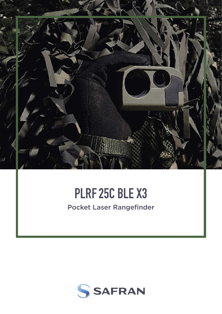

# **PLRF25C BLE X3**

Pocket Laser Rangefinder

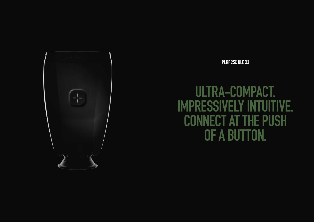**PLRF25C BLE X3**



# **ULTRA-COMPACT. IMPRESSIVELY INTUITIVE. CONNECT AT THE PUSH OF A BUTTON.**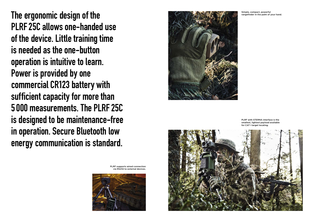**The ergonomic design of the PLRF25C allows one-handed use of the device. Little training time is needed as the one-button operation is intuitive to learn. Power is provided by one commercial CR123 battery with sufficient capacity for more than 5000 measurements. The PLRF25C is designed to be maintenance-free in operation. Secure Bluetooth low energy communication is standard.**





Simple, compact, powerful rangefinder in the palm of your hand.

PLRF with STERNA interface is the smallest, lightest payload available for CAT I target locating.

PLRF supports wired connection via RS232 to external devices.

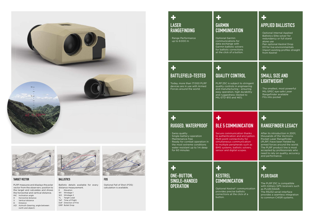#### **BALLISTICS**

Ballistic details available for every distance measurement.

- E Elevation
- W1 Windage 1
- W<sub>2</sub> Windage 2
- TL Target Lead ToF Time of Flight
- DoF Direction of Fire
- DRP Bullet Drop
- 

#### **TARGET VECTOR**

- 
- H Horizontal distance<br>V Vertical distance Vertical distance
- D Distance
- AZI Azimuth (bearing, angle between north and object)

PLRF measures and displays the polar vector from the observers position to the target and calculates and shows the horizontal and vertical distance. INC Inclination angle

**FOS**

Optional Fall of Shot (FOS) calculation is available.

| <b>LASER</b><br><b>RANGEFINDING</b><br>· Range Performance<br>up to 6000 m                                                                                                                                     | <b>GARMIN</b><br><b>COMMUNICA</b><br><b>Optional Garmin</b><br>communications<br>data exchange w<br>Garmin ballistic s<br>for ballistic corre<br>at the click of a b   |
|----------------------------------------------------------------------------------------------------------------------------------------------------------------------------------------------------------------|------------------------------------------------------------------------------------------------------------------------------------------------------------------------|
| 55<br><b>BATTLEFIELD-TESTED</b><br>Today, more than 17000 PLRF<br>devices are in use with Armed<br>Forces around the world.                                                                                    | 25<br><b>QUALITY CON</b><br>PLRF25C is subje<br>quality controls in<br>and manufacturir<br>easy operation, h<br>and ruggedness<br>MIL-STD-810 and                      |
| RUGGED, WATERPROOF<br>· Swiss quality<br>· Single-battery-operation<br>· Maintenance-free<br>· Ready for combat operation in<br>the most extreme conditions<br>water resistant up to 1m deep<br>for 60 minutes | - 5<br><b>BLE 5 COMM</b><br>Secure communi<br>to authentication<br>Multi point conne<br>simultaneous cor<br>to multiple peripl<br>BMS systems, ba<br>sensor and digita |

**+ ONE-BUTTON, SINGLE-HANDED OPERATION** 

#### **COMMUNICATION**

for  $\ddot{}$ solvers ections button.

### **NTROL**

ect to stringent n engineering ng – ensuring igh durability (tested to  $|461\rangle$ .

#### **+ KESTREL COMMUNICATION**

Optional Kestrel® communication provides precise ballistic corrections at the click of a button.

#### **+ APPLIED BALLISTICS**

- · Optional Internal Applied Ballistics Elite solver for redundancy or full stand alone use
- Pair optional Kestrel Drop D3 for live environmentals
- Import existing profiles straight from Kestrel

## **+**

#### **SMALL SIZE AND LIGHTWEIGHT**

The smallest, most powerful MIL-SPEC eye-safe Laser Rangefinder available Fits into pocket

### **BUNICATION**

cation thanks and encryption.  ${\rm activity~for}$ nmunication terals such as listic solvers, scopes.

### **+ RANGEFINDER LEGACY**

After its introduction in 2001, thousands of the Vectronix Pocket Laser Rangefinder (PLRF) have been fielded by armed forces around the world. The PLRF product line is most accepted by professionals who need to rely on quality, accuracy and performance.

### **+ PLGR/DAGR**

The PLRF 25C is compatible with military GPS receivers such as PLGR/DAGR. The RS232 serial-interface provides a seamless integration to common C4ISR systems.







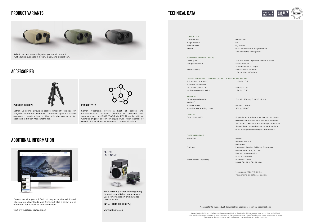

On our website, you will find not only extensive additional information, downloads, and films, but also a direct point of contact for a product demonstration.

| Observation                                        | monocular                                                     |
|----------------------------------------------------|---------------------------------------------------------------|
| Magnification                                      | 6x                                                            |
| Field of view                                      | $6^{\circ}/106$ mil                                           |
| Reticle                                            | Glass reticle with 5 mil graduation                           |
|                                                    | and electronic aiming mark                                    |
| RANGEFINDER (DISTANCE)                             |                                                               |
| Laser type                                         | 1550 nm, class 1, eye-safe per EN 60825-1                     |
| Range capability                                   | 5m to 6000m                                                   |
|                                                    | 3000 m on NATO target                                         |
| Accuracy (1σ)                                      | ±2m(50m to 1500m)                                             |
|                                                    | $±5m$ (<50m, >1500m)                                          |
| DIGITAL MAGNETIC COMPASS (AZIMUTH AND INCLINATION) |                                                               |
| Azimuth accuracy $(1\sigma)$                       | $±10$ mil $/±0.6°$                                            |
| with PPS calibration                               |                                                               |
| on tripod, typical (1σ)                            | $±5$ mil $/±0.3^{\circ}$                                      |
| Inclination accuracy (1σ)                          | $±3$ mil $/±0.2°$                                             |
| <b>PHYSICAL</b>                                    |                                                               |
| Dimensions $(l \times w \times h)$                 | $131 \times 88 \times 55$ mm / $5.2 \times 3.5 \times 2.2$ in |
| Weight <sup>1)</sup>                               |                                                               |
| with batteries                                     | 430g / 0.95lbs <sup>1)</sup>                                  |
| with shock-absorbing cover                         | 500g / 1.1lbs $\frac{1}{1}$                                   |
|                                                    |                                                               |
| <b>DISPLAY</b>                                     |                                                               |
| Data displayed <sup>2)</sup>                       | slope distance, azimuth, inclination, horizontal              |
|                                                    | distance, vertical distance, distance between                 |
|                                                    | two objects, elevation and windage corrections,               |
|                                                    | time of flight, bullet drop and other functions               |
|                                                    | (if so equipped) according to user manual                     |
| <b>DATA INTERFACE</b>                              |                                                               |
| Standard                                           | RS-232                                                        |
|                                                    | <b>Bluetooth BLE 5</b>                                        |
|                                                    | multipoint                                                    |
| Optional                                           | integrated Applied Ballistics Elite solver,                   |
|                                                    | Garmin Tactix AB / 701 AB,                                    |
|                                                    | Kestrel communication,                                        |
|                                                    | FOS, PLGR DAGR                                                |
| <b>External GPS capability</b>                     | <b>Rockwell Collins</b>                                       |
|                                                    | DAGR / PLGR II / PLGR+96                                      |
|                                                    |                                                               |
|                                                    |                                                               |
|                                                    | $\frac{1}{10}$ tolerance: +15 g / +0.33 lbs                   |

Please refer to the product datasheet for additional technical specifications.

#### **ACCESSORIES**



#### **PRODUCT VARIANTS**

#### **ADDITIONAL INFORMATION**





Select the best camouflage for your environment. PLRF 25C is available in green, black, and desert tan.

Visit www.safran-vectronix.ch

**JULTI SENSE.** 

Your reliable partner for integrating innovative and tailor-made sensors used for orientation and distance

measurement.

**INSTALLED IN THE PLRF 25C**

www.ultisense.ch







#### **PREMIUM TRIPODS**

Safran Vectronix provides stable, ultralight tripods for long-distance measurements. The non-magnetic carbonaluminum construction is the ultimate platform for accurate azimuth measurements.



#### **CONNECTIVITY**

Safran Vectronix offers a host of cables and communication options. Connect to external GPS solutions such as PLGR/DAGR via RS232 cable, with or without trigger button or equip PLRF with Kestrel or Garmin SW options for Bluetooth communication.